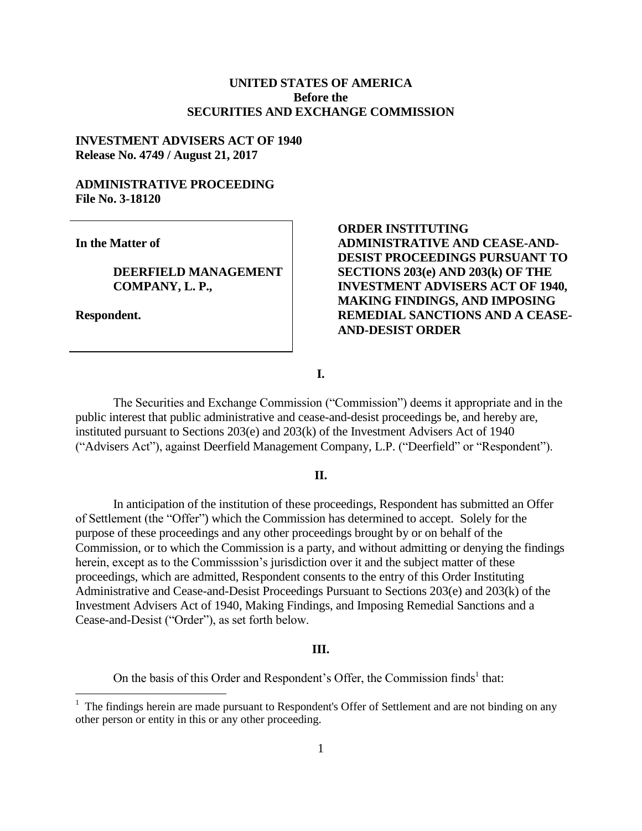## **UNITED STATES OF AMERICA Before the SECURITIES AND EXCHANGE COMMISSION**

### **INVESTMENT ADVISERS ACT OF 1940 Release No. 4749 / August 21, 2017**

### **ADMINISTRATIVE PROCEEDING File No. 3-18120**

**In the Matter of**

#### **DEERFIELD MANAGEMENT COMPANY, L. P.,**

**Respondent.**

 $\overline{a}$ 

**ORDER INSTITUTING ADMINISTRATIVE AND CEASE-AND-DESIST PROCEEDINGS PURSUANT TO SECTIONS 203(e) AND 203(k) OF THE INVESTMENT ADVISERS ACT OF 1940, MAKING FINDINGS, AND IMPOSING REMEDIAL SANCTIONS AND A CEASE-AND-DESIST ORDER** 

**I.**

The Securities and Exchange Commission ("Commission") deems it appropriate and in the public interest that public administrative and cease-and-desist proceedings be, and hereby are, instituted pursuant to Sections 203(e) and 203(k) of the Investment Advisers Act of 1940 ("Advisers Act"), against Deerfield Management Company, L.P. ("Deerfield" or "Respondent").

#### **II.**

In anticipation of the institution of these proceedings, Respondent has submitted an Offer of Settlement (the "Offer") which the Commission has determined to accept. Solely for the purpose of these proceedings and any other proceedings brought by or on behalf of the Commission, or to which the Commission is a party, and without admitting or denying the findings herein, except as to the Commisssion's jurisdiction over it and the subject matter of these proceedings, which are admitted, Respondent consents to the entry of this Order Instituting Administrative and Cease-and-Desist Proceedings Pursuant to Sections 203(e) and 203(k) of the Investment Advisers Act of 1940, Making Findings, and Imposing Remedial Sanctions and a Cease-and-Desist ("Order"), as set forth below.

#### **III.**

On the basis of this Order and Respondent's Offer, the Commission finds<sup>1</sup> that:

<sup>&</sup>lt;sup>1</sup> The findings herein are made pursuant to Respondent's Offer of Settlement and are not binding on any other person or entity in this or any other proceeding.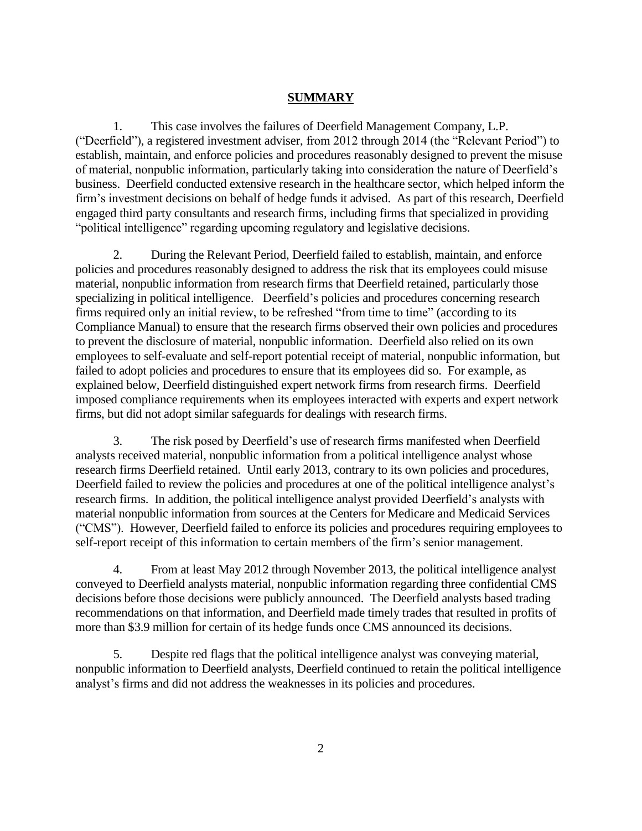# **SUMMARY**

1. This case involves the failures of Deerfield Management Company, L.P. ("Deerfield"), a registered investment adviser, from 2012 through 2014 (the "Relevant Period") to establish, maintain, and enforce policies and procedures reasonably designed to prevent the misuse of material, nonpublic information, particularly taking into consideration the nature of Deerfield's business. Deerfield conducted extensive research in the healthcare sector, which helped inform the firm's investment decisions on behalf of hedge funds it advised. As part of this research, Deerfield engaged third party consultants and research firms, including firms that specialized in providing "political intelligence" regarding upcoming regulatory and legislative decisions.

2. During the Relevant Period, Deerfield failed to establish, maintain, and enforce policies and procedures reasonably designed to address the risk that its employees could misuse material, nonpublic information from research firms that Deerfield retained, particularly those specializing in political intelligence. Deerfield's policies and procedures concerning research firms required only an initial review, to be refreshed "from time to time" (according to its Compliance Manual) to ensure that the research firms observed their own policies and procedures to prevent the disclosure of material, nonpublic information. Deerfield also relied on its own employees to self-evaluate and self-report potential receipt of material, nonpublic information, but failed to adopt policies and procedures to ensure that its employees did so. For example, as explained below, Deerfield distinguished expert network firms from research firms. Deerfield imposed compliance requirements when its employees interacted with experts and expert network firms, but did not adopt similar safeguards for dealings with research firms.

3. The risk posed by Deerfield's use of research firms manifested when Deerfield analysts received material, nonpublic information from a political intelligence analyst whose research firms Deerfield retained. Until early 2013, contrary to its own policies and procedures, Deerfield failed to review the policies and procedures at one of the political intelligence analyst's research firms. In addition, the political intelligence analyst provided Deerfield's analysts with material nonpublic information from sources at the Centers for Medicare and Medicaid Services ("CMS"). However, Deerfield failed to enforce its policies and procedures requiring employees to self-report receipt of this information to certain members of the firm's senior management.

4. From at least May 2012 through November 2013, the political intelligence analyst conveyed to Deerfield analysts material, nonpublic information regarding three confidential CMS decisions before those decisions were publicly announced. The Deerfield analysts based trading recommendations on that information, and Deerfield made timely trades that resulted in profits of more than \$3.9 million for certain of its hedge funds once CMS announced its decisions.

5. Despite red flags that the political intelligence analyst was conveying material, nonpublic information to Deerfield analysts, Deerfield continued to retain the political intelligence analyst's firms and did not address the weaknesses in its policies and procedures.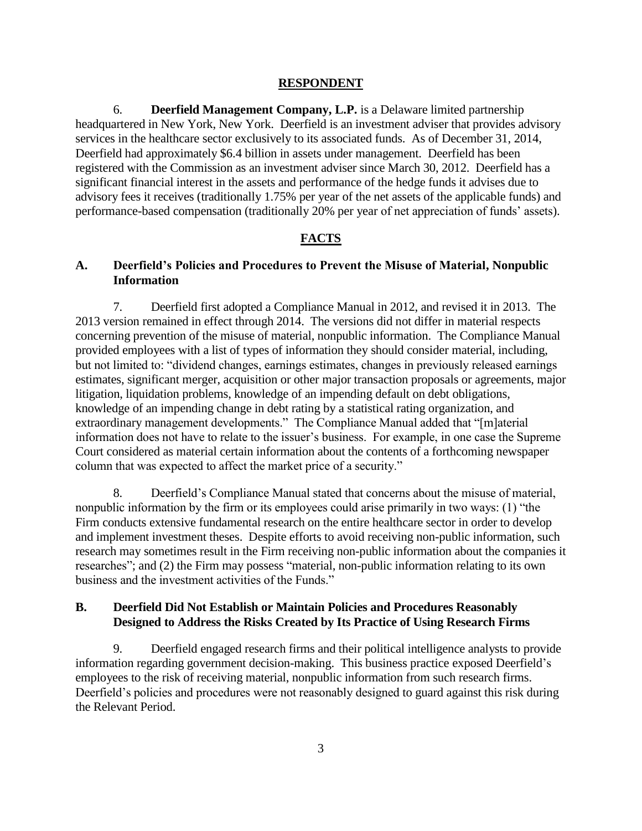### **RESPONDENT**

6. **Deerfield Management Company, L.P.** is a Delaware limited partnership headquartered in New York, New York. Deerfield is an investment adviser that provides advisory services in the healthcare sector exclusively to its associated funds. As of December 31, 2014, Deerfield had approximately \$6.4 billion in assets under management. Deerfield has been registered with the Commission as an investment adviser since March 30, 2012. Deerfield has a significant financial interest in the assets and performance of the hedge funds it advises due to advisory fees it receives (traditionally 1.75% per year of the net assets of the applicable funds) and performance-based compensation (traditionally 20% per year of net appreciation of funds' assets).

# **FACTS**

# **A. Deerfield's Policies and Procedures to Prevent the Misuse of Material, Nonpublic Information**

7. Deerfield first adopted a Compliance Manual in 2012, and revised it in 2013. The 2013 version remained in effect through 2014. The versions did not differ in material respects concerning prevention of the misuse of material, nonpublic information. The Compliance Manual provided employees with a list of types of information they should consider material, including, but not limited to: "dividend changes, earnings estimates, changes in previously released earnings estimates, significant merger, acquisition or other major transaction proposals or agreements, major litigation, liquidation problems, knowledge of an impending default on debt obligations, knowledge of an impending change in debt rating by a statistical rating organization, and extraordinary management developments." The Compliance Manual added that "[m]aterial information does not have to relate to the issuer's business. For example, in one case the Supreme Court considered as material certain information about the contents of a forthcoming newspaper column that was expected to affect the market price of a security."

8. Deerfield's Compliance Manual stated that concerns about the misuse of material, nonpublic information by the firm or its employees could arise primarily in two ways: (1) "the Firm conducts extensive fundamental research on the entire healthcare sector in order to develop and implement investment theses. Despite efforts to avoid receiving non-public information, such research may sometimes result in the Firm receiving non-public information about the companies it researches"; and (2) the Firm may possess "material, non-public information relating to its own business and the investment activities of the Funds."

# **B. Deerfield Did Not Establish or Maintain Policies and Procedures Reasonably Designed to Address the Risks Created by Its Practice of Using Research Firms**

9. Deerfield engaged research firms and their political intelligence analysts to provide information regarding government decision-making. This business practice exposed Deerfield's employees to the risk of receiving material, nonpublic information from such research firms. Deerfield's policies and procedures were not reasonably designed to guard against this risk during the Relevant Period.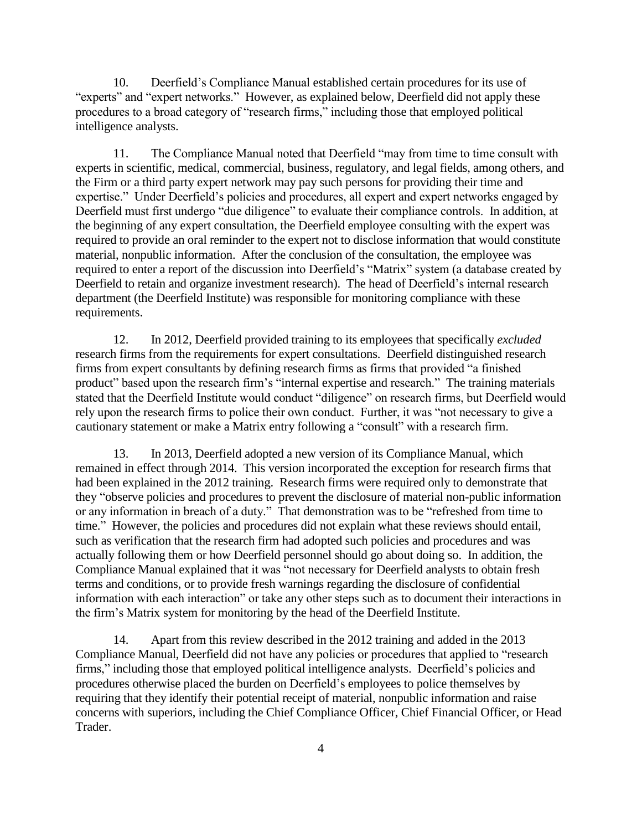10. Deerfield's Compliance Manual established certain procedures for its use of "experts" and "expert networks." However, as explained below, Deerfield did not apply these procedures to a broad category of "research firms," including those that employed political intelligence analysts.

11. The Compliance Manual noted that Deerfield "may from time to time consult with experts in scientific, medical, commercial, business, regulatory, and legal fields, among others, and the Firm or a third party expert network may pay such persons for providing their time and expertise." Under Deerfield's policies and procedures, all expert and expert networks engaged by Deerfield must first undergo "due diligence" to evaluate their compliance controls. In addition, at the beginning of any expert consultation, the Deerfield employee consulting with the expert was required to provide an oral reminder to the expert not to disclose information that would constitute material, nonpublic information. After the conclusion of the consultation, the employee was required to enter a report of the discussion into Deerfield's "Matrix" system (a database created by Deerfield to retain and organize investment research). The head of Deerfield's internal research department (the Deerfield Institute) was responsible for monitoring compliance with these requirements.

12. In 2012, Deerfield provided training to its employees that specifically *excluded* research firms from the requirements for expert consultations. Deerfield distinguished research firms from expert consultants by defining research firms as firms that provided "a finished product" based upon the research firm's "internal expertise and research." The training materials stated that the Deerfield Institute would conduct "diligence" on research firms, but Deerfield would rely upon the research firms to police their own conduct. Further, it was "not necessary to give a cautionary statement or make a Matrix entry following a "consult" with a research firm.

13. In 2013, Deerfield adopted a new version of its Compliance Manual, which remained in effect through 2014. This version incorporated the exception for research firms that had been explained in the 2012 training. Research firms were required only to demonstrate that they "observe policies and procedures to prevent the disclosure of material non-public information or any information in breach of a duty." That demonstration was to be "refreshed from time to time." However, the policies and procedures did not explain what these reviews should entail, such as verification that the research firm had adopted such policies and procedures and was actually following them or how Deerfield personnel should go about doing so. In addition, the Compliance Manual explained that it was "not necessary for Deerfield analysts to obtain fresh terms and conditions, or to provide fresh warnings regarding the disclosure of confidential information with each interaction" or take any other steps such as to document their interactions in the firm's Matrix system for monitoring by the head of the Deerfield Institute.

14. Apart from this review described in the 2012 training and added in the 2013 Compliance Manual, Deerfield did not have any policies or procedures that applied to "research firms," including those that employed political intelligence analysts. Deerfield's policies and procedures otherwise placed the burden on Deerfield's employees to police themselves by requiring that they identify their potential receipt of material, nonpublic information and raise concerns with superiors, including the Chief Compliance Officer, Chief Financial Officer, or Head Trader.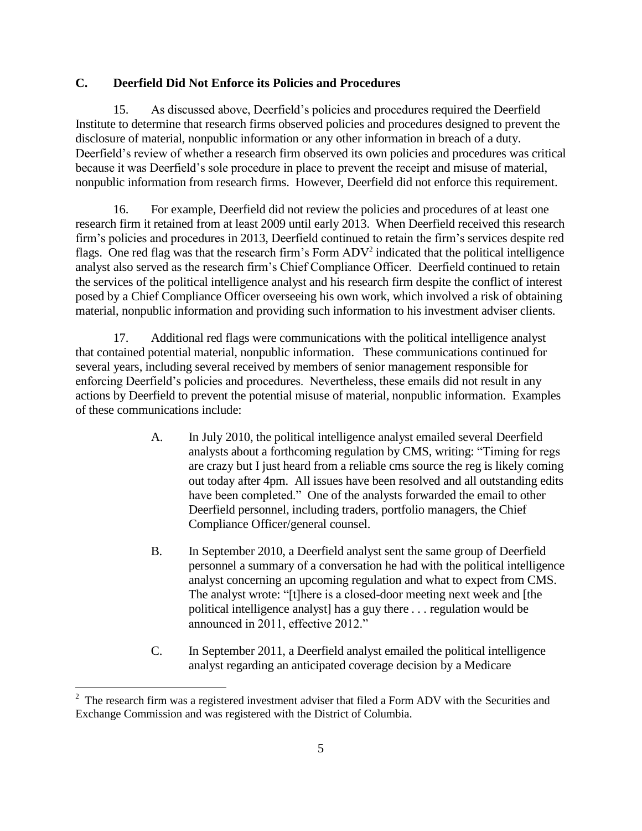# **C. Deerfield Did Not Enforce its Policies and Procedures**

15. As discussed above, Deerfield's policies and procedures required the Deerfield Institute to determine that research firms observed policies and procedures designed to prevent the disclosure of material, nonpublic information or any other information in breach of a duty. Deerfield's review of whether a research firm observed its own policies and procedures was critical because it was Deerfield's sole procedure in place to prevent the receipt and misuse of material, nonpublic information from research firms. However, Deerfield did not enforce this requirement.

16. For example, Deerfield did not review the policies and procedures of at least one research firm it retained from at least 2009 until early 2013. When Deerfield received this research firm's policies and procedures in 2013, Deerfield continued to retain the firm's services despite red flags. One red flag was that the research firm's Form  $ADV^2$  indicated that the political intelligence analyst also served as the research firm's Chief Compliance Officer. Deerfield continued to retain the services of the political intelligence analyst and his research firm despite the conflict of interest posed by a Chief Compliance Officer overseeing his own work, which involved a risk of obtaining material, nonpublic information and providing such information to his investment adviser clients.

17. Additional red flags were communications with the political intelligence analyst that contained potential material, nonpublic information. These communications continued for several years, including several received by members of senior management responsible for enforcing Deerfield's policies and procedures. Nevertheless, these emails did not result in any actions by Deerfield to prevent the potential misuse of material, nonpublic information. Examples of these communications include:

- A. In July 2010, the political intelligence analyst emailed several Deerfield analysts about a forthcoming regulation by CMS, writing: "Timing for regs are crazy but I just heard from a reliable cms source the reg is likely coming out today after 4pm. All issues have been resolved and all outstanding edits have been completed." One of the analysts forwarded the email to other Deerfield personnel, including traders, portfolio managers, the Chief Compliance Officer/general counsel.
- B. In September 2010, a Deerfield analyst sent the same group of Deerfield personnel a summary of a conversation he had with the political intelligence analyst concerning an upcoming regulation and what to expect from CMS. The analyst wrote: "[t]here is a closed-door meeting next week and [the political intelligence analyst] has a guy there *. . .* regulation would be announced in 2011, effective 2012."
- C. In September 2011, a Deerfield analyst emailed the political intelligence analyst regarding an anticipated coverage decision by a Medicare

 $\overline{a}$ 

 $2$  The research firm was a registered investment adviser that filed a Form ADV with the Securities and Exchange Commission and was registered with the District of Columbia.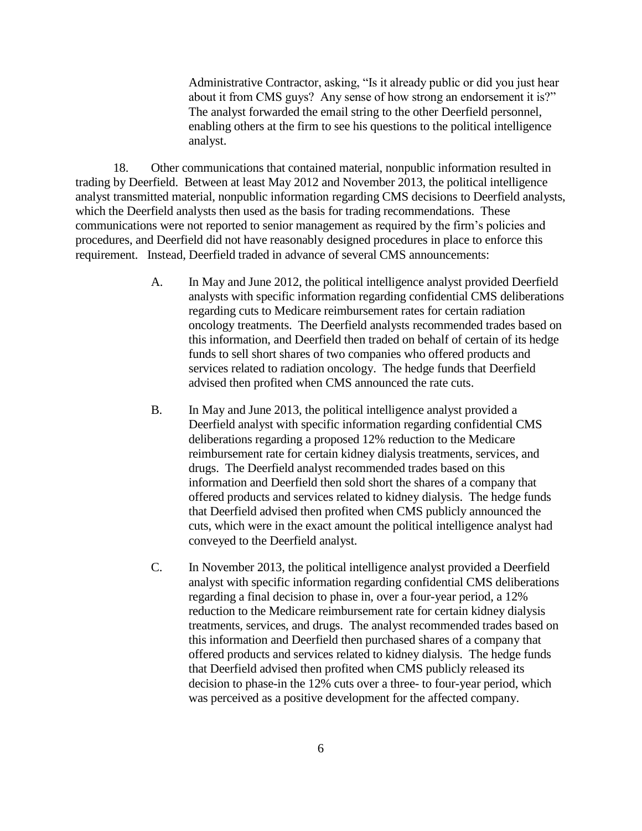Administrative Contractor, asking, "Is it already public or did you just hear about it from CMS guys? Any sense of how strong an endorsement it is?" The analyst forwarded the email string to the other Deerfield personnel, enabling others at the firm to see his questions to the political intelligence analyst.

18. Other communications that contained material, nonpublic information resulted in trading by Deerfield. Between at least May 2012 and November 2013, the political intelligence analyst transmitted material, nonpublic information regarding CMS decisions to Deerfield analysts, which the Deerfield analysts then used as the basis for trading recommendations. These communications were not reported to senior management as required by the firm's policies and procedures, and Deerfield did not have reasonably designed procedures in place to enforce this requirement. Instead, Deerfield traded in advance of several CMS announcements:

- A. In May and June 2012, the political intelligence analyst provided Deerfield analysts with specific information regarding confidential CMS deliberations regarding cuts to Medicare reimbursement rates for certain radiation oncology treatments. The Deerfield analysts recommended trades based on this information, and Deerfield then traded on behalf of certain of its hedge funds to sell short shares of two companies who offered products and services related to radiation oncology. The hedge funds that Deerfield advised then profited when CMS announced the rate cuts.
- B. In May and June 2013, the political intelligence analyst provided a Deerfield analyst with specific information regarding confidential CMS deliberations regarding a proposed 12% reduction to the Medicare reimbursement rate for certain kidney dialysis treatments, services, and drugs. The Deerfield analyst recommended trades based on this information and Deerfield then sold short the shares of a company that offered products and services related to kidney dialysis. The hedge funds that Deerfield advised then profited when CMS publicly announced the cuts, which were in the exact amount the political intelligence analyst had conveyed to the Deerfield analyst.
- C. In November 2013, the political intelligence analyst provided a Deerfield analyst with specific information regarding confidential CMS deliberations regarding a final decision to phase in, over a four-year period, a 12% reduction to the Medicare reimbursement rate for certain kidney dialysis treatments, services, and drugs. The analyst recommended trades based on this information and Deerfield then purchased shares of a company that offered products and services related to kidney dialysis. The hedge funds that Deerfield advised then profited when CMS publicly released its decision to phase-in the 12% cuts over a three- to four-year period, which was perceived as a positive development for the affected company.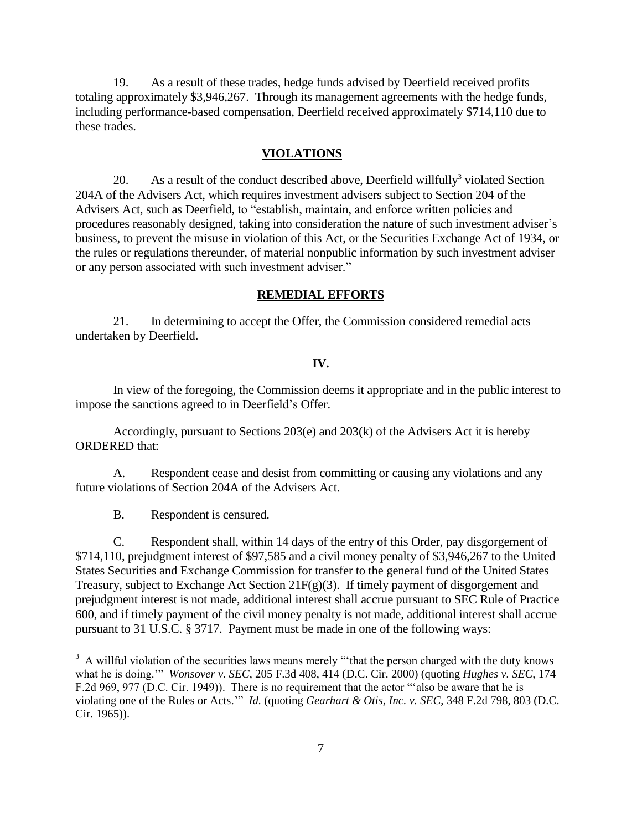19. As a result of these trades, hedge funds advised by Deerfield received profits totaling approximately \$3,946,267. Through its management agreements with the hedge funds, including performance-based compensation, Deerfield received approximately \$714,110 due to these trades.

#### **VIOLATIONS**

20. As a result of the conduct described above, Deerfield willfully<sup>3</sup> violated Section 204A of the Advisers Act, which requires investment advisers subject to Section 204 of the Advisers Act, such as Deerfield, to "establish, maintain, and enforce written policies and procedures reasonably designed, taking into consideration the nature of such investment adviser's business, to prevent the misuse in violation of this Act, or the Securities Exchange Act of 1934, or the rules or regulations thereunder, of material nonpublic information by such investment adviser or any person associated with such investment adviser."

#### **REMEDIAL EFFORTS**

21. In determining to accept the Offer, the Commission considered remedial acts undertaken by Deerfield.

#### **IV.**

In view of the foregoing, the Commission deems it appropriate and in the public interest to impose the sanctions agreed to in Deerfield's Offer.

Accordingly, pursuant to Sections 203(e) and 203(k) of the Advisers Act it is hereby ORDERED that:

A. Respondent cease and desist from committing or causing any violations and any future violations of Section 204A of the Advisers Act.

B. Respondent is censured.

 $\overline{a}$ 

C. Respondent shall, within 14 days of the entry of this Order, pay disgorgement of \$714,110, prejudgment interest of \$97,585 and a civil money penalty of \$3,946,267 to the United States Securities and Exchange Commission for transfer to the general fund of the United States Treasury, subject to Exchange Act Section 21F(g)(3). If timely payment of disgorgement and prejudgment interest is not made, additional interest shall accrue pursuant to SEC Rule of Practice 600, and if timely payment of the civil money penalty is not made, additional interest shall accrue pursuant to 31 U.S.C. § 3717. Payment must be made in one of the following ways:

 $3 \text{ A will full violation of the securities laws means merely "that the person charged with the duty knows" }$ what he is doing.'" *Wonsover v. SEC*, 205 F.3d 408, 414 (D.C. Cir. 2000) (quoting *Hughes v. SEC*, 174 F.2d 969, 977 (D.C. Cir. 1949)). There is no requirement that the actor "'also be aware that he is violating one of the Rules or Acts.'" *Id.* (quoting *Gearhart & Otis, Inc. v. SEC*, 348 F.2d 798, 803 (D.C. Cir. 1965)).